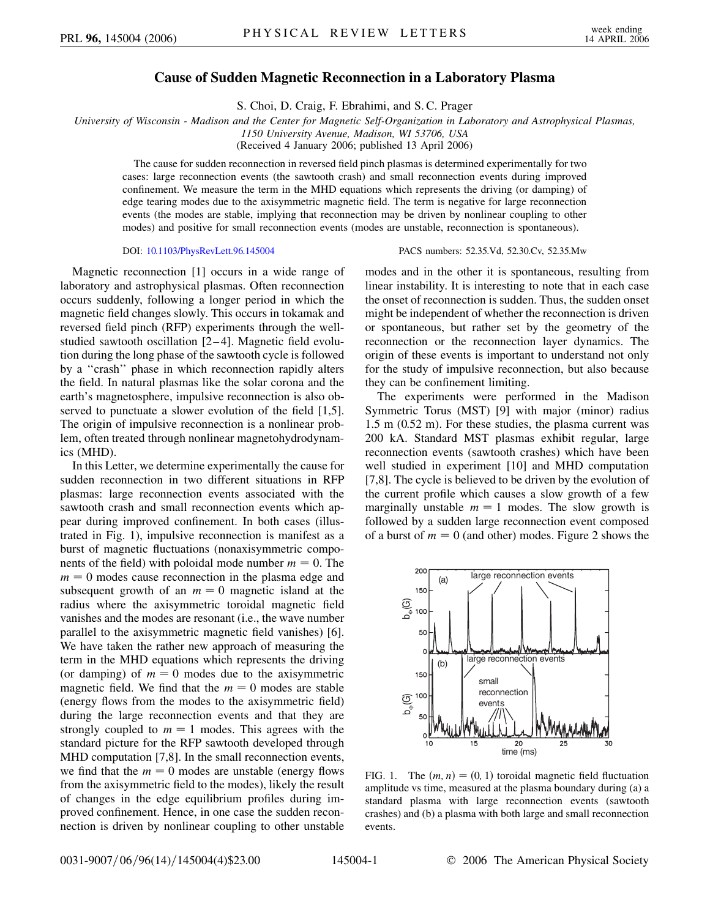## **Cause of Sudden Magnetic Reconnection in a Laboratory Plasma**

S. Choi, D. Craig, F. Ebrahimi, and S. C. Prager

*University of Wisconsin - Madison and the Center for Magnetic Self-Organization in Laboratory and Astrophysical Plasmas,*

*1150 University Avenue, Madison, WI 53706, USA*

(Received 4 January 2006; published 13 April 2006)

The cause for sudden reconnection in reversed field pinch plasmas is determined experimentally for two cases: large reconnection events (the sawtooth crash) and small reconnection events during improved confinement. We measure the term in the MHD equations which represents the driving (or damping) of edge tearing modes due to the axisymmetric magnetic field. The term is negative for large reconnection events (the modes are stable, implying that reconnection may be driven by nonlinear coupling to other modes) and positive for small reconnection events (modes are unstable, reconnection is spontaneous).

## DOI: [10.1103/PhysRevLett.96.145004](http://dx.doi.org/10.1103/PhysRevLett.96.145004) PACS numbers: 52.35.Vd, 52.30.Cv, 52.35.Mw

Magnetic reconnection [1] occurs in a wide range of laboratory and astrophysical plasmas. Often reconnection occurs suddenly, following a longer period in which the magnetic field changes slowly. This occurs in tokamak and reversed field pinch (RFP) experiments through the wellstudied sawtooth oscillation [2-4]. Magnetic field evolution during the long phase of the sawtooth cycle is followed by a ''crash'' phase in which reconnection rapidly alters the field. In natural plasmas like the solar corona and the earth's magnetosphere, impulsive reconnection is also observed to punctuate a slower evolution of the field [1,5]. The origin of impulsive reconnection is a nonlinear problem, often treated through nonlinear magnetohydrodynamics (MHD).

In this Letter, we determine experimentally the cause for sudden reconnection in two different situations in RFP plasmas: large reconnection events associated with the sawtooth crash and small reconnection events which appear during improved confinement. In both cases (illustrated in Fig. 1), impulsive reconnection is manifest as a burst of magnetic fluctuations (nonaxisymmetric components of the field) with poloidal mode number  $m = 0$ . The  $m = 0$  modes cause reconnection in the plasma edge and subsequent growth of an  $m = 0$  magnetic island at the radius where the axisymmetric toroidal magnetic field vanishes and the modes are resonant (i.e., the wave number parallel to the axisymmetric magnetic field vanishes) [6]. We have taken the rather new approach of measuring the term in the MHD equations which represents the driving (or damping) of  $m = 0$  modes due to the axisymmetric magnetic field. We find that the  $m = 0$  modes are stable (energy flows from the modes to the axisymmetric field) during the large reconnection events and that they are strongly coupled to  $m = 1$  modes. This agrees with the standard picture for the RFP sawtooth developed through MHD computation [7,8]. In the small reconnection events, we find that the  $m = 0$  modes are unstable (energy flows from the axisymmetric field to the modes), likely the result of changes in the edge equilibrium profiles during improved confinement. Hence, in one case the sudden reconnection is driven by nonlinear coupling to other unstable

modes and in the other it is spontaneous, resulting from linear instability. It is interesting to note that in each case the onset of reconnection is sudden. Thus, the sudden onset might be independent of whether the reconnection is driven or spontaneous, but rather set by the geometry of the reconnection or the reconnection layer dynamics. The origin of these events is important to understand not only for the study of impulsive reconnection, but also because they can be confinement limiting.

The experiments were performed in the Madison Symmetric Torus (MST) [9] with major (minor) radius 1.5 m (0.52 m). For these studies, the plasma current was 200 kA. Standard MST plasmas exhibit regular, large reconnection events (sawtooth crashes) which have been well studied in experiment [10] and MHD computation [7,8]. The cycle is believed to be driven by the evolution of the current profile which causes a slow growth of a few marginally unstable  $m = 1$  modes. The slow growth is followed by a sudden large reconnection event composed of a burst of  $m = 0$  (and other) modes. Figure 2 shows the



FIG. 1. The  $(m, n) = (0, 1)$  toroidal magnetic field fluctuation amplitude vs time, measured at the plasma boundary during (a) a standard plasma with large reconnection events (sawtooth crashes) and (b) a plasma with both large and small reconnection events.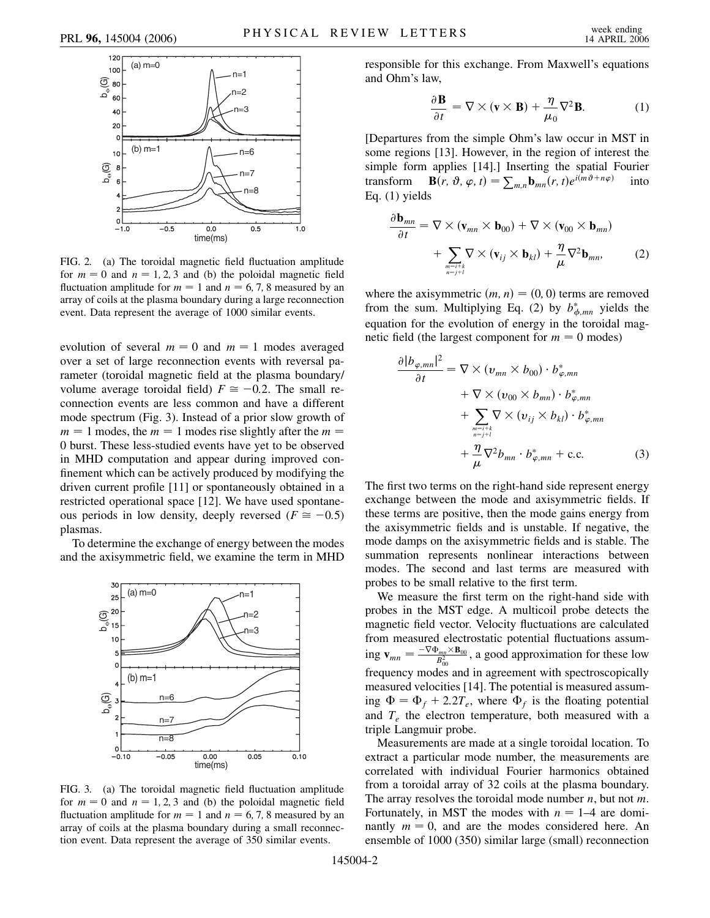

FIG. 2. (a) The toroidal magnetic field fluctuation amplitude for  $m = 0$  and  $n = 1, 2, 3$  and (b) the poloidal magnetic field fluctuation amplitude for  $m = 1$  and  $n = 6, 7, 8$  measured by an array of coils at the plasma boundary during a large reconnection event. Data represent the average of 1000 similar events.

evolution of several  $m = 0$  and  $m = 1$  modes averaged over a set of large reconnection events with reversal parameter (toroidal magnetic field at the plasma boundary/ volume average toroidal field)  $F \approx -0.2$ . The small reconnection events are less common and have a different mode spectrum (Fig. 3). Instead of a prior slow growth of  $m = 1$  modes, the  $m = 1$  modes rise slightly after the  $m =$ 0 burst. These less-studied events have yet to be observed in MHD computation and appear during improved confinement which can be actively produced by modifying the driven current profile [11] or spontaneously obtained in a restricted operational space [12]. We have used spontaneous periods in low density, deeply reversed ( $F \approx -0.5$ ) plasmas.

To determine the exchange of energy between the modes and the axisymmetric field, we examine the term in MHD



FIG. 3. (a) The toroidal magnetic field fluctuation amplitude for  $m = 0$  and  $n = 1, 2, 3$  and (b) the poloidal magnetic field fluctuation amplitude for  $m = 1$  and  $n = 6, 7, 8$  measured by an array of coils at the plasma boundary during a small reconnection event. Data represent the average of 350 similar events.

responsible for this exchange. From Maxwell's equations and Ohm's law,

$$
\frac{\partial \mathbf{B}}{\partial t} = \nabla \times (\mathbf{v} \times \mathbf{B}) + \frac{\eta}{\mu_0} \nabla^2 \mathbf{B}.
$$
 (1)

[Departures from the simple Ohm's law occur in MST in some regions [13]. However, in the region of interest the simple form applies [14].] Inserting the spatial Fourier transform  $\mathbf{B}(r, \vartheta, \varphi, t) = \sum_{m,n} \mathbf{b}_{mn}(r, t) e^{i(m\vartheta + n\varphi)}$  into Eq. (1) yields

$$
\frac{\partial \mathbf{b}_{mn}}{\partial t} = \nabla \times (\mathbf{v}_{mn} \times \mathbf{b}_{00}) + \nabla \times (\mathbf{v}_{00} \times \mathbf{b}_{mn}) + \sum_{\substack{m=i+k\\ n=j+l}} \nabla \times (\mathbf{v}_{ij} \times \mathbf{b}_{kl}) + \frac{\eta}{\mu} \nabla^2 \mathbf{b}_{mn},
$$
 (2)

where the axisymmetric  $(m, n) = (0, 0)$  terms are removed from the sum. Multiplying Eq. (2) by  $b^*_{\phi, mn}$  yields the equation for the evolution of energy in the toroidal magnetic field (the largest component for  $m = 0$  modes)

$$
\frac{\partial |b_{\varphi,mn}|^2}{\partial t} = \nabla \times (v_{mn} \times b_{00}) \cdot b_{\varphi,mn}^* \n+ \nabla \times (v_{00} \times b_{mn}) \cdot b_{\varphi,mn}^* \n+ \sum_{\substack{m=i+k \\ n=j+l}} \nabla \times (v_{ij} \times b_{kl}) \cdot b_{\varphi,mn}^* \n+ \frac{\eta}{\mu} \nabla^2 b_{mn} \cdot b_{\varphi,mn}^* + \text{c.c.}
$$
\n(3)

The first two terms on the right-hand side represent energy exchange between the mode and axisymmetric fields. If these terms are positive, then the mode gains energy from the axisymmetric fields and is unstable. If negative, the mode damps on the axisymmetric fields and is stable. The summation represents nonlinear interactions between modes. The second and last terms are measured with probes to be small relative to the first term.

We measure the first term on the right-hand side with probes in the MST edge. A multicoil probe detects the magnetic field vector. Velocity fluctuations are calculated from measured electrostatic potential fluctuations assuming  $\mathbf{v}_{mn} = \frac{-\nabla \Phi_{mn} \times \mathbf{B}_{00}}{B_{00}^2}$ , a good approximation for these low frequency modes and in agreement with spectroscopically measured velocities [14]. The potential is measured assuming  $\Phi = \Phi_f + 2.2T_e$ , where  $\Phi_f$  is the floating potential and  $T_e$  the electron temperature, both measured with a triple Langmuir probe.

Measurements are made at a single toroidal location. To extract a particular mode number, the measurements are correlated with individual Fourier harmonics obtained from a toroidal array of 32 coils at the plasma boundary. The array resolves the toroidal mode number *n*, but not *m*. Fortunately, in MST the modes with  $n = 1-4$  are dominantly  $m = 0$ , and are the modes considered here. An ensemble of 1000 (350) similar large (small) reconnection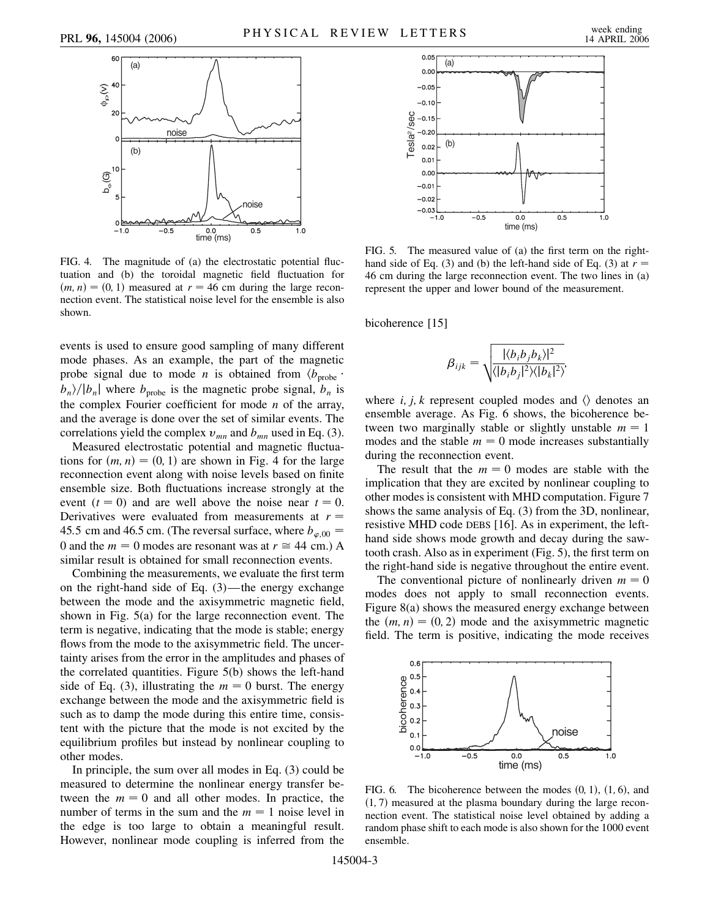

FIG. 4. The magnitude of (a) the electrostatic potential fluctuation and (b) the toroidal magnetic field fluctuation for  $(m, n) = (0, 1)$  measured at  $r = 46$  cm during the large reconnection event. The statistical noise level for the ensemble is also shown.

events is used to ensure good sampling of many different mode phases. As an example, the part of the magnetic probe signal due to mode *n* is obtained from  $\langle b_{\text{probe}} \rangle$  $b_n$ / $|b_n|$  where  $b_{\text{probe}}$  is the magnetic probe signal,  $b_n$  is the complex Fourier coefficient for mode *n* of the array, and the average is done over the set of similar events. The correlations yield the complex  $v_{mn}$  and  $b_{mn}$  used in Eq. (3).

Measured electrostatic potential and magnetic fluctuations for  $(m, n) = (0, 1)$  are shown in Fig. 4 for the large reconnection event along with noise levels based on finite ensemble size. Both fluctuations increase strongly at the event  $(t = 0)$  and are well above the noise near  $t = 0$ . Derivatives were evaluated from measurements at  $r =$ 45.5 cm and 46.5 cm. (The reversal surface, where  $b_{\varphi,00}$  = 0 and the  $m = 0$  modes are resonant was at  $r \approx 44$  cm.) A similar result is obtained for small reconnection events.

Combining the measurements, we evaluate the first term on the right-hand side of Eq. (3)—the energy exchange between the mode and the axisymmetric magnetic field, shown in Fig. 5(a) for the large reconnection event. The term is negative, indicating that the mode is stable; energy flows from the mode to the axisymmetric field. The uncertainty arises from the error in the amplitudes and phases of the correlated quantities. Figure 5(b) shows the left-hand side of Eq. (3), illustrating the  $m = 0$  burst. The energy exchange between the mode and the axisymmetric field is such as to damp the mode during this entire time, consistent with the picture that the mode is not excited by the equilibrium profiles but instead by nonlinear coupling to other modes.

In principle, the sum over all modes in Eq. (3) could be measured to determine the nonlinear energy transfer between the  $m = 0$  and all other modes. In practice, the number of terms in the sum and the  $m = 1$  noise level in the edge is too large to obtain a meaningful result. However, nonlinear mode coupling is inferred from the



FIG. 5. The measured value of (a) the first term on the righthand side of Eq. (3) and (b) the left-hand side of Eq. (3) at  $r =$ 46 cm during the large reconnection event. The two lines in (a) represent the upper and lower bound of the measurement.

bicoherence [15]

$$
\beta_{ijk} = \sqrt{\frac{|\langle b_i b_j b_k \rangle|^2}{\langle |b_i b_j|^2 \rangle \langle |b_k|^2 \rangle}}
$$

where *i*, *j*, *k* represent coupled modes and  $\langle \rangle$  denotes and ensemble average. As Fig. 6 shows, the bicoherence between two marginally stable or slightly unstable  $m = 1$ modes and the stable  $m = 0$  mode increases substantially during the reconnection event.

The result that the  $m = 0$  modes are stable with the implication that they are excited by nonlinear coupling to other modes is consistent with MHD computation. Figure 7 shows the same analysis of Eq. (3) from the 3D, nonlinear, resistive MHD code DEBS [16]. As in experiment, the lefthand side shows mode growth and decay during the sawtooth crash. Also as in experiment (Fig. 5), the first term on the right-hand side is negative throughout the entire event.

The conventional picture of nonlinearly driven  $m = 0$ modes does not apply to small reconnection events. Figure 8(a) shows the measured energy exchange between the  $(m, n) = (0, 2)$  mode and the axisymmetric magnetic field. The term is positive, indicating the mode receives



FIG. 6. The bicoherence between the modes  $(0, 1)$ ,  $(1, 6)$ , and (1, 7) measured at the plasma boundary during the large reconnection event. The statistical noise level obtained by adding a random phase shift to each mode is also shown for the 1000 event ensemble.